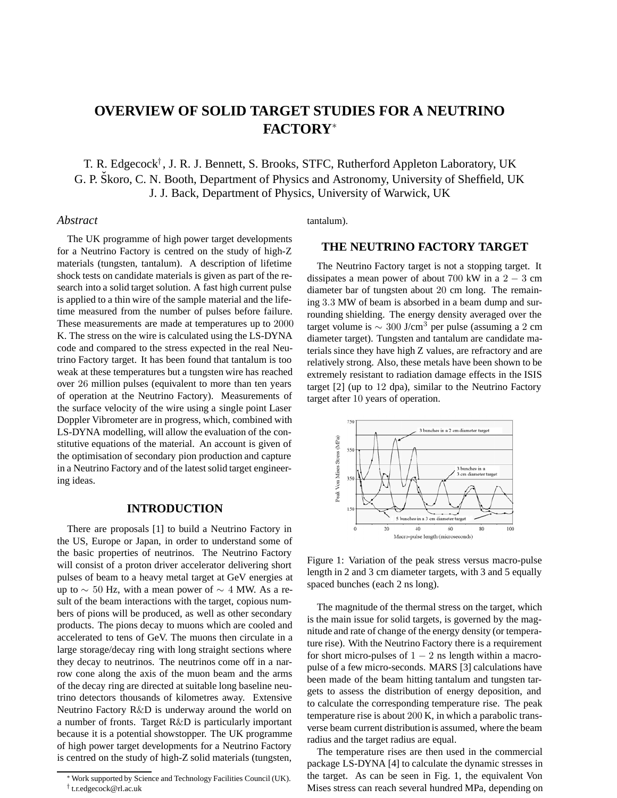# **OVERVIEW OF SOLID TARGET STUDIES FOR A NEUTRINO FACTORY**<sup>∗</sup>

T. R. Edgecock*†* , J. R. J. Bennett, S. Brooks, STFC, Rutherford Appleton Laboratory, UK G. P. Škoro, C. N. Booth, Department of Physics and Astronomy, University of Sheffield, UK J. J. Back, Department of Physics, University of Warwick, UK

## *Abstract*

The UK programme of high power target developments for a Neutrino Factory is centred on the study of high-Z materials (tungsten, tantalum). A description of lifetime shock tests on candidate materials is given as part of the research into a solid target solution. A fast high current pulse is applied to a thin wire of the sample material and the lifetime measured from the number of pulses before failure. These measurements are made at temperatures up to 2000 K. The stress on the wire is calculated using the LS-DYNA code and compared to the stress expected in the real Neutrino Factory target. It has been found that tantalum is too weak at these temperatures but a tungsten wire has reached over 26 million pulses (equivalent to more than ten years of operation at the Neutrino Factory). Measurements of the surface velocity of the wire using a single point Laser Doppler Vibrometer are in progress, which, combined with LS-DYNA modelling, will allow the evaluation of the constitutive equations of the material. An account is given of the optimisation of secondary pion production and capture in a Neutrino Factory and of the latest solid target engineering ideas.

#### **INTRODUCTION**

There are proposals [1] to build a Neutrino Factory in the US, Europe or Japan, in order to understand some of the basic properties of neutrinos. The Neutrino Factory will consist of a proton driver accelerator delivering short pulses of beam to a heavy metal target at GeV energies at up to  $\sim$  50 Hz, with a mean power of  $\sim$  4 MW. As a result of the beam interactions with the target, copious numbers of pions will be produced, as well as other secondary products. The pions decay to muons which are cooled and accelerated to tens of GeV. The muons then circulate in a large storage/decay ring with long straight sections where they decay to neutrinos. The neutrinos come off in a narrow cone along the axis of the muon beam and the arms of the decay ring are directed at suitable long baseline neutrino detectors thousands of kilometres away. Extensive Neutrino Factory R&D is underway around the world on a number of fronts. Target R&D is particularly important because it is a potential showstopper. The UK programme of high power target developments for a Neutrino Factory is centred on the study of high-Z solid materials (tungsten,

tantalum).

## **THE NEUTRINO FACTORY TARGET**

The Neutrino Factory target is not a stopping target. It dissipates a mean power of about  $700 \text{ kW}$  in a  $2 - 3 \text{ cm}$ diameter bar of tungsten about 20 cm long. The remaining 3*.*3 MW of beam is absorbed in a beam dump and surrounding shielding. The energy density averaged over the target volume is  $\sim 300$  J/cm<sup>3</sup> per pulse (assuming a 2 cm diameter target). Tungsten and tantalum are candidate materials since they have high Z values, are refractory and are relatively strong. Also, these metals have been shown to be extremely resistant to radiation damage effects in the ISIS target [2] (up to 12 dpa), similar to the Neutrino Factory target after 10 years of operation.



Figure 1: Variation of the peak stress versus macro-pulse length in 2 and 3 cm diameter targets, with 3 and 5 equally spaced bunches (each 2 ns long).

The magnitude of the thermal stress on the target, which is the main issue for solid targets, is governed by the magnitude and rate of change of the energy density (or temperature rise). With the Neutrino Factory there is a requirement for short micro-pulses of  $1 - 2$  ns length within a macropulse of a few micro-seconds. MARS [3] calculations have been made of the beam hitting tantalum and tungsten targets to assess the distribution of energy deposition, and to calculate the corresponding temperature rise. The peak temperature rise is about 200 K, in which a parabolic transverse beam current distributionis assumed, where the beam radius and the target radius are equal.

The temperature rises are then used in the commercial package LS-DYNA [4] to calculate the dynamic stresses in the target. As can be seen in Fig. 1, the equivalent Von Mises stress can reach several hundred MPa, depending on

<sup>∗</sup>Work supported by Science and Technology Facilities Council (UK). † t.r.edgecock@rl.ac.uk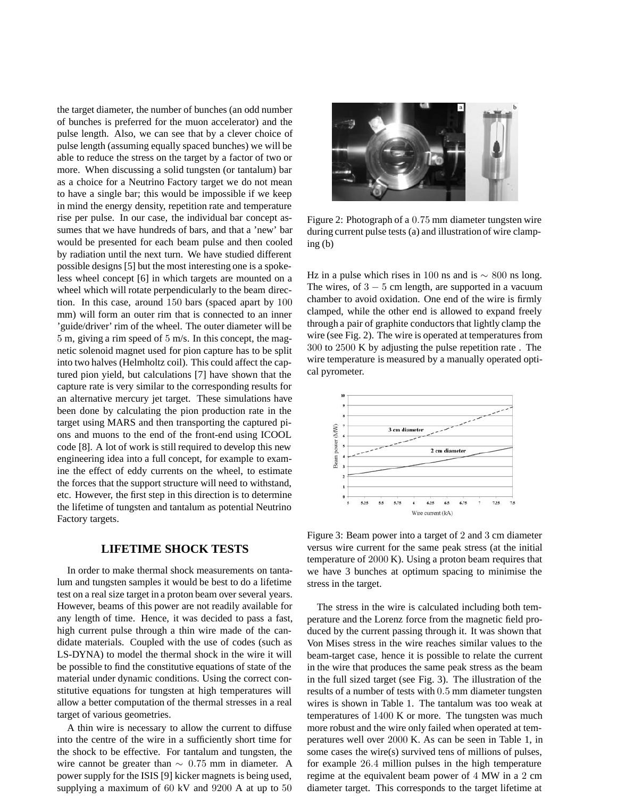the target diameter, the number of bunches (an odd number of bunches is preferred for the muon accelerator) and the pulse length. Also, we can see that by a clever choice of pulse length (assuming equally spaced bunches) we will be able to reduce the stress on the target by a factor of two or more. When discussing a solid tungsten (or tantalum) bar as a choice for a Neutrino Factory target we do not mean to have a single bar; this would be impossible if we keep in mind the energy density, repetition rate and temperature rise per pulse. In our case, the individual bar concept assumes that we have hundreds of bars, and that a 'new' bar would be presented for each beam pulse and then cooled by radiation until the next turn. We have studied different possible designs [5] but the most interesting one is a spokeless wheel concept [6] in which targets are mounted on a wheel which will rotate perpendicularly to the beam direction. In this case, around 150 bars (spaced apart by 100 mm) will form an outer rim that is connected to an inner 'guide/driver' rim of the wheel. The outer diameter will be 5 m, giving a rim speed of 5 m/s. In this concept, the magnetic solenoid magnet used for pion capture has to be split into two halves (Helmholtz coil). This could affect the captured pion yield, but calculations [7] have shown that the capture rate is very similar to the corresponding results for an alternative mercury jet target. These simulations have been done by calculating the pion production rate in the target using MARS and then transporting the captured pions and muons to the end of the front-end using ICOOL code [8]. A lot of work is still required to develop this new engineering idea into a full concept, for example to examine the effect of eddy currents on the wheel, to estimate the forces that the support structure will need to withstand, etc. However, the first step in this direction is to determine the lifetime of tungsten and tantalum as potential Neutrino Factory targets.

## **LIFETIME SHOCK TESTS**

In order to make thermal shock measurements on tantalum and tungsten samples it would be best to do a lifetime test on a real size target in a proton beam over several years. However, beams of this power are not readily available for any length of time. Hence, it was decided to pass a fast, high current pulse through a thin wire made of the candidate materials. Coupled with the use of codes (such as LS-DYNA) to model the thermal shock in the wire it will be possible to find the constitutive equations of state of the material under dynamic conditions. Using the correct constitutive equations for tungsten at high temperatures will allow a better computation of the thermal stresses in a real target of various geometries.

A thin wire is necessary to allow the current to diffuse into the centre of the wire in a sufficiently short time for the shock to be effective. For tantalum and tungsten, the wire cannot be greater than ∼ 0*.*75 mm in diameter. A power supply for the ISIS [9] kicker magnets is being used, supplying a maximum of 60 kV and 9200 A at up to 50



Figure 2: Photograph of a 0*.*75 mm diameter tungsten wire during current pulse tests (a) and illustration of wire clamping (b)

Hz in a pulse which rises in 100 ns and is  $\sim 800$  ns long. The wires, of  $3 - 5$  cm length, are supported in a vacuum chamber to avoid oxidation. One end of the wire is firmly clamped, while the other end is allowed to expand freely through a pair of graphite conductors that lightly clamp the wire (see Fig. 2). The wire is operated at temperatures from 300 to 2500 K by adjusting the pulse repetition rate . The wire temperature is measured by a manually operated optical pyrometer.



Figure 3: Beam power into a target of 2 and 3 cm diameter versus wire current for the same peak stress (at the initial temperature of 2000 K). Using a proton beam requires that we have 3 bunches at optimum spacing to minimise the stress in the target.

The stress in the wire is calculated including both temperature and the Lorenz force from the magnetic field produced by the current passing through it. It was shown that Von Mises stress in the wire reaches similar values to the beam-target case, hence it is possible to relate the current in the wire that produces the same peak stress as the beam in the full sized target (see Fig. 3). The illustration of the results of a number of tests with 0*.*5 mm diameter tungsten wires is shown in Table 1. The tantalum was too weak at temperatures of 1400 K or more. The tungsten was much more robust and the wire only failed when operated at temperatures well over 2000 K. As can be seen in Table 1, in some cases the wire(s) survived tens of millions of pulses, for example 26*.*4 million pulses in the high temperature regime at the equivalent beam power of 4 MW in a 2 cm diameter target. This corresponds to the target lifetime at